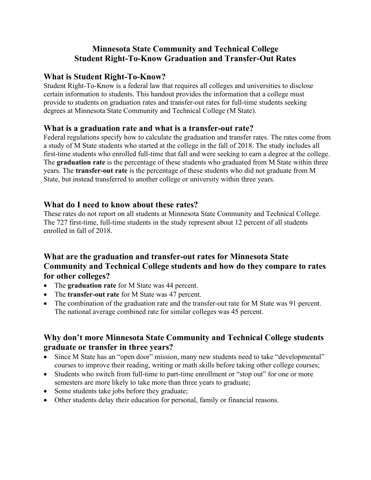# Minnesota State Community and Technical College Student Right-To-Know Graduation and Transfer-Out Rates

#### What is Student Right-To-Know?

Student Right-To-Know is a federal law that requires all colleges and universities to disclose certain information to students. This handout provides the information that a college must provide to students on graduation rates and transfer-out rates for full-time students seeking degrees at Minnesota State Community and Technical College (M State).

#### What is a graduation rate and what is a transfer-out rate?

Federal regulations specify how to calculate the graduation and transfer rates. The rates come from a study of M State students who started at the college in the fall of 2018. The study includes all first-time students who enrolled full-time that fall and were seeking to earn a degree at the college. The **graduation rate** is the percentage of these students who graduated from M State within three years. The transfer-out rate is the percentage of these students who did not graduate from M State, but instead transferred to another college or university within three years.

#### What do I need to know about these rates?

These rates do not report on all students at Minnesota State Community and Technical College. The 727 first-time, full-time students in the study represent about 12 percent of all students enrolled in fall of 2018.

## What are the graduation and transfer-out rates for Minnesota State Community and Technical College students and how do they compare to rates for other colleges?

- The graduation rate for M State was 44 percent.
- The transfer-out rate for M State was 47 percent.
- The combination of the graduation rate and the transfer-out rate for M State was 91 percent. The national average combined rate for similar colleges was 45 percent.

## Why don't more Minnesota State Community and Technical College students graduate or transfer in three years?

- Since M State has an "open door" mission, many new students need to take "developmental" courses to improve their reading, writing or math skills before taking other college courses;
- Students who switch from full-time to part-time enrollment or "stop out" for one or more semesters are more likely to take more than three years to graduate;
- Some students take jobs before they graduate;
- Other students delay their education for personal, family or financial reasons.